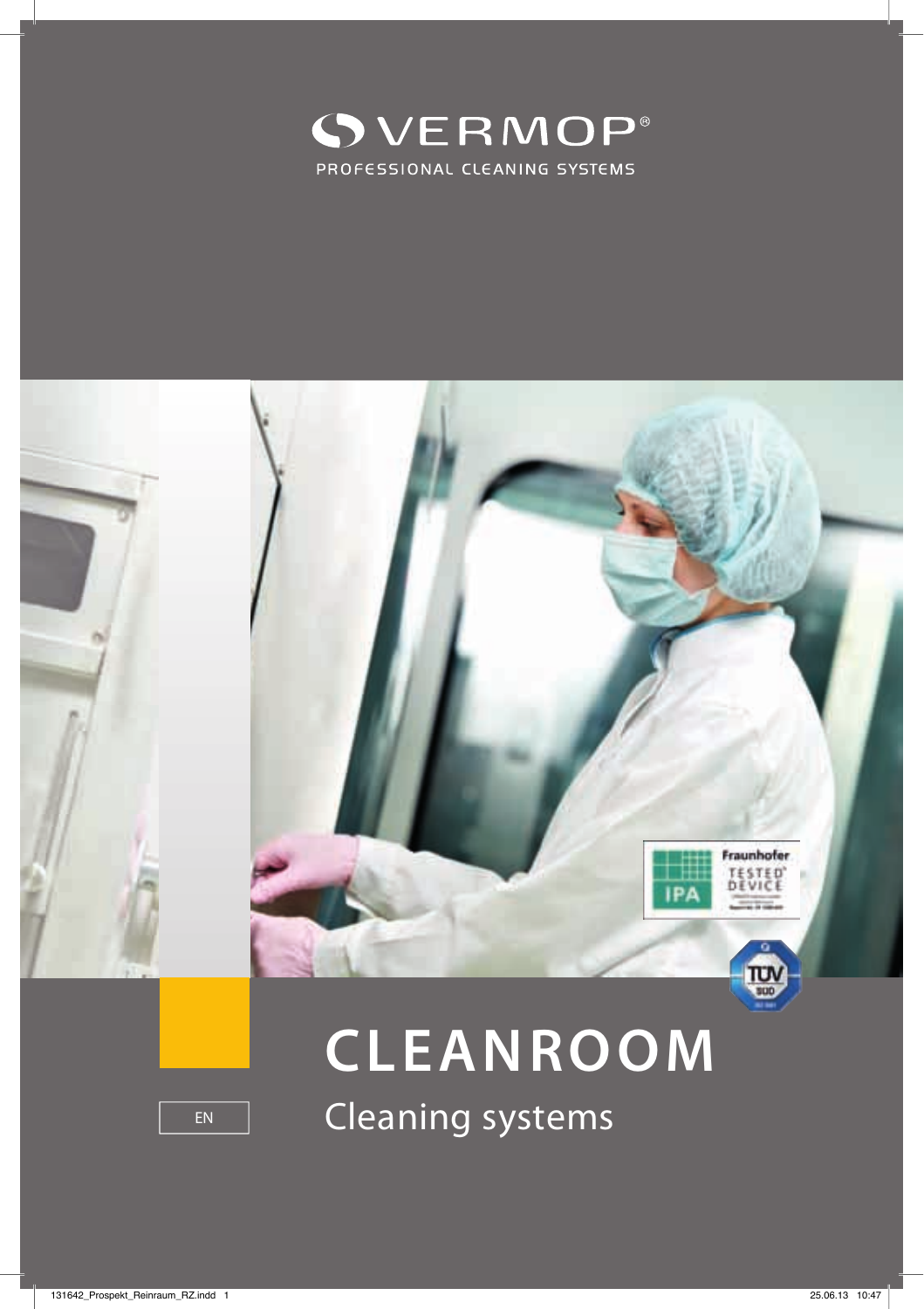



# **CLEANROOM**

EN Cleaning systems

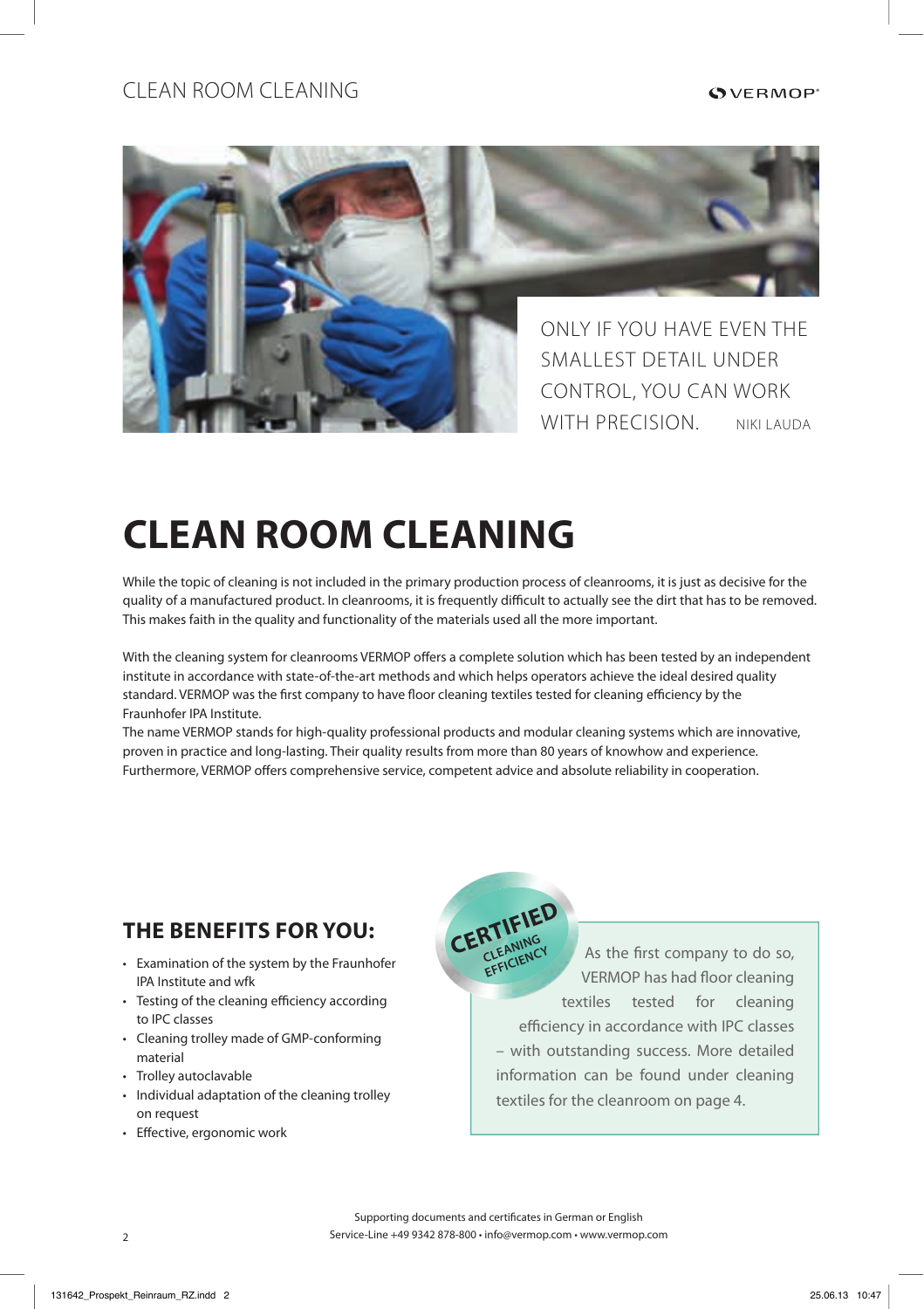#### clean room cleaning



## **CLEAN ROOM CLEANING**

While the topic of cleaning is not included in the primary production process of cleanrooms, it is just as decisive for the quality of a manufactured product. In cleanrooms, it is frequently difficult to actually see the dirt that has to be removed. This makes faith in the quality and functionality of the materials used all the more important.

With the cleaning system for cleanrooms VERMOP offers a complete solution which has been tested by an independent institute in accordance with state-of-the-art methods and which helps operators achieve the ideal desired quality standard. VERMOP was the first company to have floor cleaning textiles tested for cleaning efficiency by the Fraunhofer IPA Institute.

The name VERMOP stands for high-quality professional products and modular cleaning systems which are innovative, proven in practice and long-lasting. Their quality results from more than 80 years of knowhow and experience. Furthermore, VERMOP offers comprehensive service, competent advice and absolute reliability in cooperation.

### **THE BENEFITS FOR YOU:**

- Examination of the system by the Fraunhofer IPA Institute and wfk
- Testing of the cleaning efficiency according to IPC classes
- Cleaning trolley made of GMP-conforming material
- Trolley autoclavable
- Individual adaptation of the cleaning trolley on request
- Effective, ergonomic work

As the first company to do so, VERMOP has had floor cleaning textiles tested for cleaning efficiency in accordance with IPC classes – with outstanding success. More detailed information can be found under cleaning textiles for the cleanroom on page 4. **CERTIFIED CLEANING CLEANING**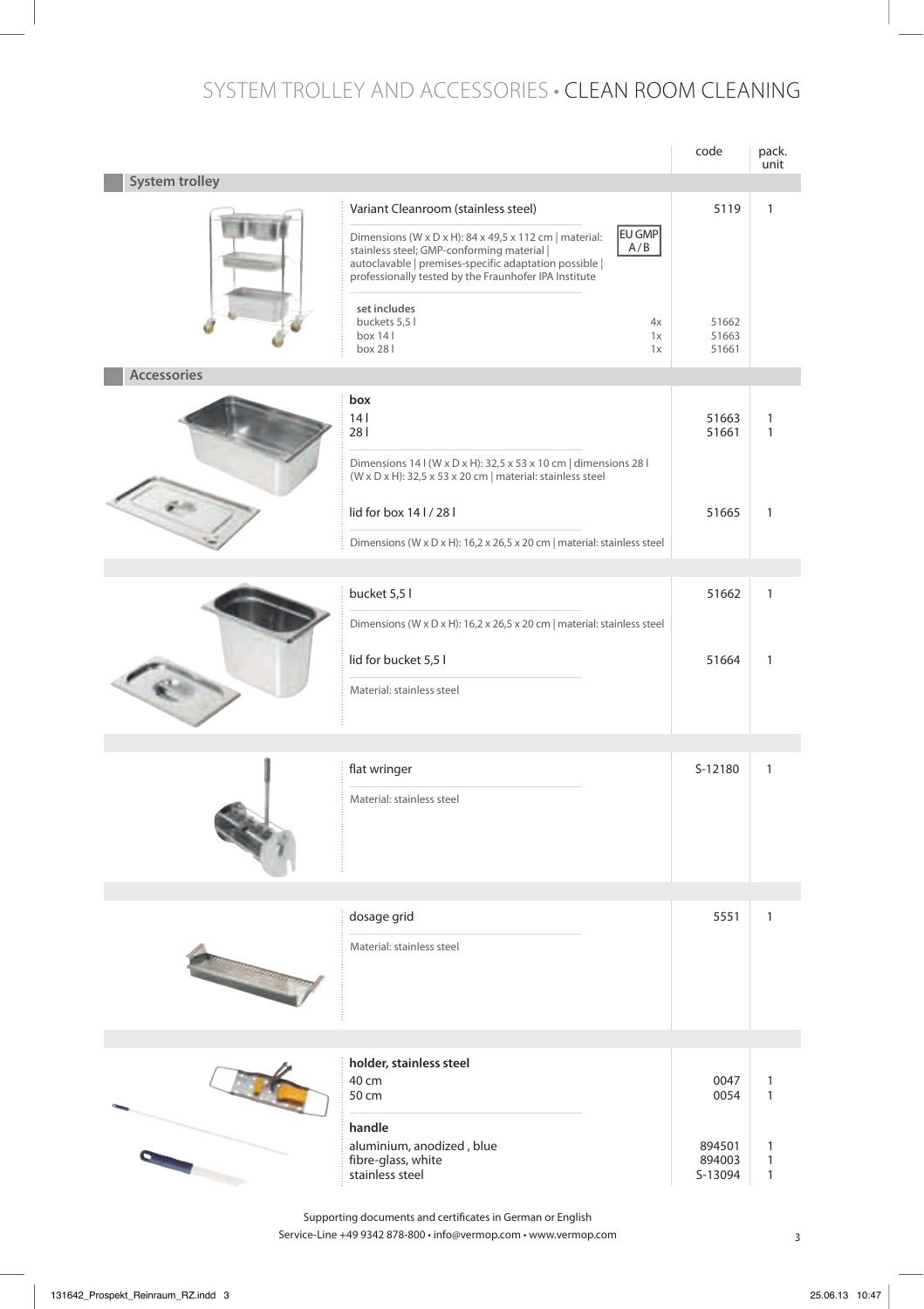#### SyStem trolley and acceSSorieS • clean room cleaning

|                       |                                                                                                                                                                                                                                                                                 | code                        | pack.<br>unit                                |
|-----------------------|---------------------------------------------------------------------------------------------------------------------------------------------------------------------------------------------------------------------------------------------------------------------------------|-----------------------------|----------------------------------------------|
| <b>System trolley</b> |                                                                                                                                                                                                                                                                                 |                             |                                              |
|                       | Variant Cleanroom (stainless steel)<br>EU GMP<br>Dimensions (W x D x H): 84 x 49,5 x 112 cm   material:<br>A/B<br>stainless steel; GMP-conforming material  <br>autoclavable   premises-specific adaptation possible  <br>professionally tested by the Fraunhofer IPA Institute | 5119                        | 1                                            |
|                       | set includes<br>buckets 5,5 l<br>4x<br>box 141<br>1x<br>box 28 l<br>1x                                                                                                                                                                                                          | 51662<br>51663<br>51661     |                                              |
| <b>Accessories</b>    |                                                                                                                                                                                                                                                                                 |                             |                                              |
|                       | box<br>14 <sup>1</sup><br>281<br>Dimensions 14 I (W x D x H): 32,5 x 53 x 10 cm   dimensions 28 I<br>(W x D x H): 32,5 x 53 x 20 cm   material: stainless steel                                                                                                                 | 51663<br>51661              | 1<br>1                                       |
|                       | lid for box 141/281<br>Dimensions (W x D x H): 16,2 x 26,5 x 20 cm   material: stainless steel                                                                                                                                                                                  | 51665                       | $\mathbf{1}$                                 |
|                       |                                                                                                                                                                                                                                                                                 |                             |                                              |
|                       | bucket 5,5 l<br>Dimensions (W x D x H): 16,2 x 26,5 x 20 cm   material: stainless steel                                                                                                                                                                                         | 51662                       | $\mathbf{1}$                                 |
|                       | lid for bucket 5,5 l<br>Material: stainless steel                                                                                                                                                                                                                               | 51664                       | $\mathbf{1}$                                 |
|                       |                                                                                                                                                                                                                                                                                 |                             |                                              |
|                       | flat wringer<br>Material: stainless steel                                                                                                                                                                                                                                       | S-12180                     | $\mathbf{1}$                                 |
|                       |                                                                                                                                                                                                                                                                                 |                             |                                              |
|                       | dosage grid<br>Material: stainless steel                                                                                                                                                                                                                                        | 5551                        | $\mathbf{1}$                                 |
|                       |                                                                                                                                                                                                                                                                                 |                             |                                              |
|                       | holder, stainless steel<br>40 cm<br>50 cm<br>handle                                                                                                                                                                                                                             | 0047<br>0054                | $\mathbf{1}$<br>$\mathbf{1}$                 |
|                       | aluminium, anodized, blue<br>fibre-glass, white<br>stainless steel                                                                                                                                                                                                              | 894501<br>894003<br>S-13094 | $\mathbf{1}$<br>$\mathbf{1}$<br>$\mathbf{1}$ |

Service-Line +49 9342 878-800 • info@vermop.com • www.vermop.com 3 Supporting documents and certificates in German or English